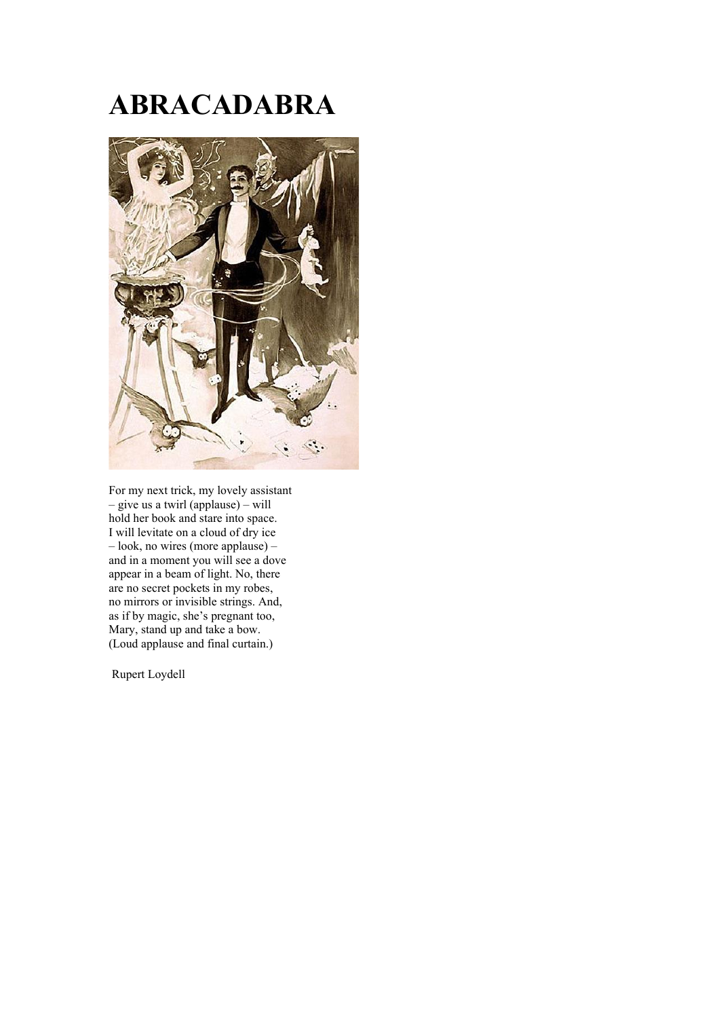## **ABRACADABRA**



For my next trick, my lovely assistant – give us a twirl (applause) – will hold her book and stare into space. I will levitate on a cloud of dry ice – look, no wires (more applause) – and in a moment you will see a dove appear in a beam of light. No, there are no secret pockets in my robes, no mirrors or invisible strings. And, as if by magic, she's pregnant too, Mary, stand up and take a bow. (Loud applause and final curtain.)

Rupert Loydell